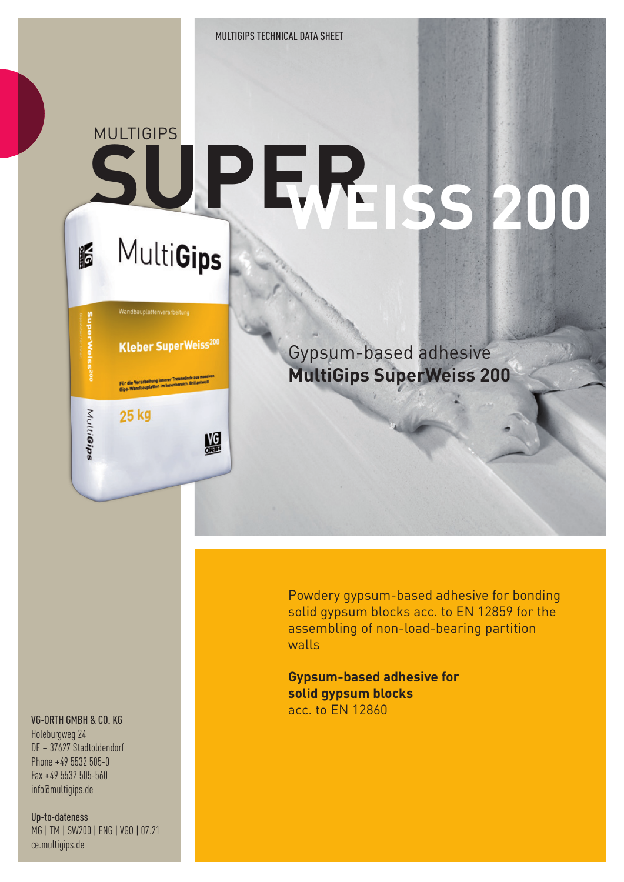MULTIGIPS TECHNICAL DATA SHEET

## **MULTIGIPS SUPER WEISS 200** MultiGips

# **Kleber SuperWeiss200** lie Verarbeitung innerer Trennwände<br>Wandbauplatten im Innenbereich. Br MultiGips 25 kg

盟

16

Gypsum-based adhesive **MultiGips SuperWeiss 200**

Powdery gypsum-based adhesive for bonding solid gypsum blocks acc. to EN 12859 for the assembling of non-load-bearing partition walls

**Gypsum-based adhesive for solid gypsum blocks** acc. to EN 12860

#### VG-ORTH GMBH & CO. KG

Holeburgweg 24 DE – 37627 Stadtoldendorf Phone +49 5532 505-0 Fax +49 5532 505-560 info@multigips.de

Up-to-dateness MG | TM | SW200 | ENG | VGO | 07.21 ce.multigips.de